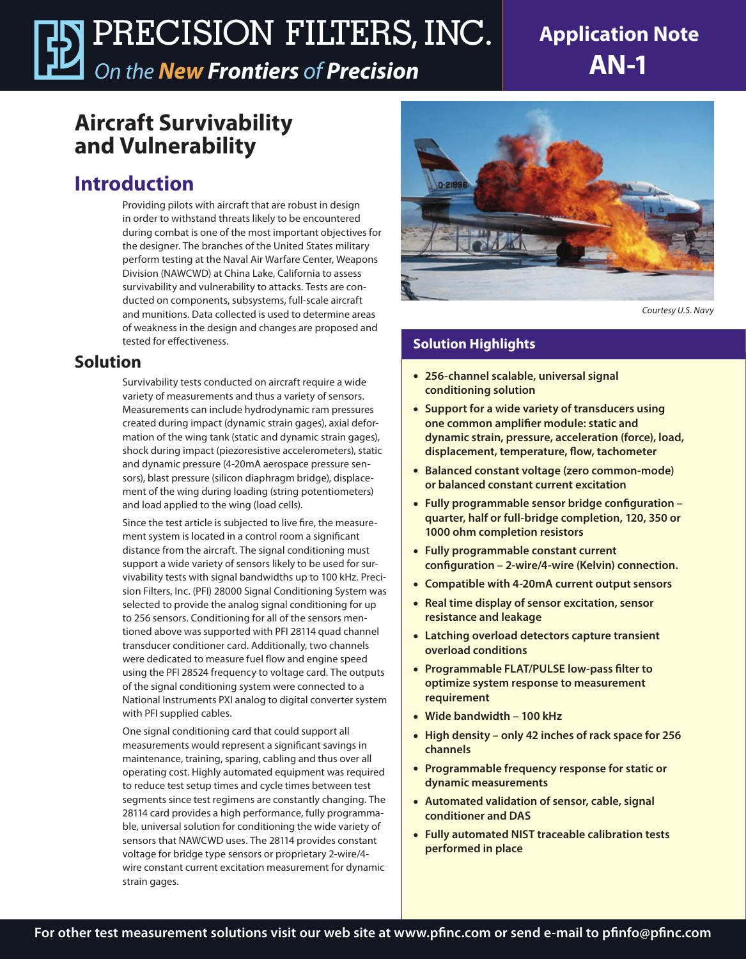# PRECISION FILTERS, INC.

## *On the New Frontiers of Precision*

# **Application Note AN-1**

## **Aircraft Survivability and Vulnerability**

## **Introduction**

Providing pilots with aircraft that are robust in design in order to withstand threats likely to be encountered during combat is one of the most important objectives for the designer. The branches of the United States military perform testing at the Naval Air Warfare Center, Weapons Division (NAWCWD) at China Lake, California to assess survivability and vulnerability to attacks. Tests are conducted on components, subsystems, full-scale aircraft and munitions. Data collected is used to determine areas of weakness in the design and changes are proposed and tested for effectiveness.

### **Solution**

Survivability tests conducted on aircraft require a wide variety of measurements and thus a variety of sensors. Measurements can include hydrodynamic ram pressures created during impact (dynamic strain gages), axial deformation of the wing tank (static and dynamic strain gages), shock during impact (piezoresistive accelerometers), static and dynamic pressure (4-20mA aerospace pressure sensors), blast pressure (silicon diaphragm bridge), displacement of the wing during loading (string potentiometers) and load applied to the wing (load cells).

Since the test article is subjected to live fire, the measurement system is located in a control room a significant distance from the aircraft. The signal conditioning must support a wide variety of sensors likely to be used for survivability tests with signal bandwidths up to 100 kHz. Precision Filters, Inc. (PFI) 28000 Signal Conditioning System was selected to provide the analog signal conditioning for up to 256 sensors. Conditioning for all of the sensors mentioned above was supported with PFI 28114 quad channel transducer conditioner card. Additionally, two channels were dedicated to measure fuel flow and engine speed using the PFI 28524 frequency to voltage card. The outputs of the signal conditioning system were connected to a National Instruments PXI analog to digital converter system with PFI supplied cables.

One signal conditioning card that could support all measurements would represent a significant savings in maintenance, training, sparing, cabling and thus over all operating cost. Highly automated equipment was required to reduce test setup times and cycle times between test segments since test regimens are constantly changing. The 28114 card provides a high performance, fully programmable, universal solution for conditioning the wide variety of sensors that NAWCWD uses. The 28114 provides constant voltage for bridge type sensors or proprietary 2-wire/4 wire constant current excitation measurement for dynamic strain gages.



*Courtesy U.S. Navy*

#### **Solution Highlights**

- **• 256-channel scalable, universal signal conditioning solution**
- **• Support for a wide variety of transducers using one common amplifier module: static and dynamic strain, pressure, acceleration (force), load, displacement, temperature, flow, tachometer**
- **• Balanced constant voltage (zero common-mode) or balanced constant current excitation**
- **• Fully programmable sensor bridge configuration quarter, half or full-bridge completion, 120, 350 or 1000 ohm completion resistors**
- **• Fully programmable constant current configuration – 2-wire/4-wire (Kelvin) connection.**
- **• Compatible with 4-20mA current output sensors**
- **• Real time display of sensor excitation, sensor resistance and leakage**
- **• Latching overload detectors capture transient overload conditions**
- **• Programmable FLAT/PULSE low-pass filter to optimize system response to measurement requirement**
- **• Wide bandwidth 100 kHz**
- **• High density only 42 inches of rack space for 256 channels**
- **• Programmable frequency response for static or dynamic measurements**
- **• Automated validation of sensor, cable, signal conditioner and DAS**
- **• Fully automated NIST traceable calibration tests performed in place**